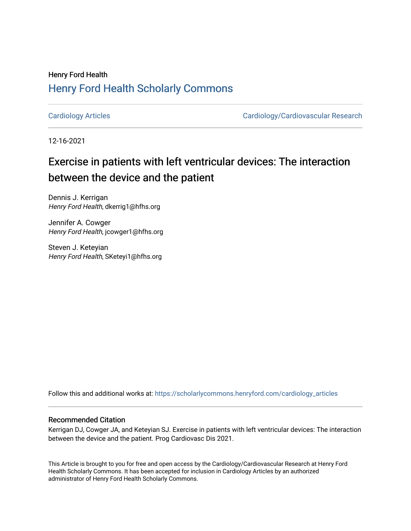## Henry Ford Health [Henry Ford Health Scholarly Commons](https://scholarlycommons.henryford.com/)

[Cardiology Articles](https://scholarlycommons.henryford.com/cardiology_articles) [Cardiology/Cardiovascular Research](https://scholarlycommons.henryford.com/cardiology) 

12-16-2021

# Exercise in patients with left ventricular devices: The interaction between the device and the patient

Dennis J. Kerrigan Henry Ford Health, dkerrig1@hfhs.org

Jennifer A. Cowger Henry Ford Health, jcowger1@hfhs.org

Steven J. Keteyian Henry Ford Health, SKeteyi1@hfhs.org

Follow this and additional works at: [https://scholarlycommons.henryford.com/cardiology\\_articles](https://scholarlycommons.henryford.com/cardiology_articles?utm_source=scholarlycommons.henryford.com%2Fcardiology_articles%2F863&utm_medium=PDF&utm_campaign=PDFCoverPages)

## Recommended Citation

Kerrigan DJ, Cowger JA, and Keteyian SJ. Exercise in patients with left ventricular devices: The interaction between the device and the patient. Prog Cardiovasc Dis 2021.

This Article is brought to you for free and open access by the Cardiology/Cardiovascular Research at Henry Ford Health Scholarly Commons. It has been accepted for inclusion in Cardiology Articles by an authorized administrator of Henry Ford Health Scholarly Commons.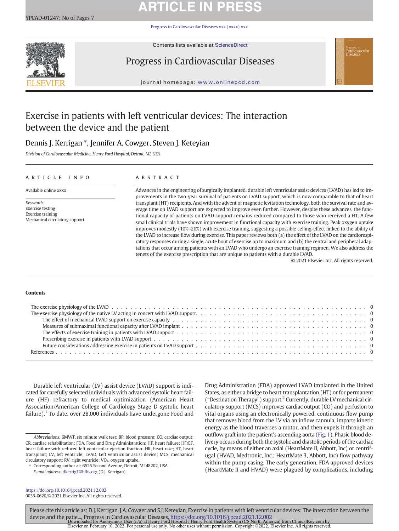# **ARTICLE IN PRESS**

[Progress in Cardiovascular Diseases xxx \(xxxx\) xxx](https://doi.org/10.1016/j.pcad.2021.12.002)



Contents lists available at [ScienceDirect](http://www.sciencedirect.com/science/journal/)

## Progress in Cardiovascular Diseases



journal homepage: <www.onlinepcd.com>

## Exercise in patients with left ventricular devices: The interaction between the device and the patient

## Dennis J. Kerrigan \*, Jennifer A. Cowger, Steven J. Keteyian

Division of Cardiovascular Medicine, Henry Ford Hospital, Detroit, MI, USA

## article info abstract

Mechanical circulatory support

Advances in the engineering of surgically implanted, durable left ventricular assist devices (LVAD) has led to improvements in the two-year survival of patients on LVAD support, which is now comparable to that of heart transplant (HT) recipients. And with the advent of magnetic levitation technology, both the survival rate and average time on LVAD support are expected to improve even further. However, despite these advances, the functional capacity of patients on LVAD support remains reduced compared to those who received a HT. A few small clinical trials have shown improvement in functional capacity with exercise training. Peak oxygen uptake improves modestly (10%–20%) with exercise training, suggesting a possible celling-effect linked to the ability of the LVAD to increase flow during exercise. This paper reviews both (a) the effect of the LVAD on the cardiorespiratory responses during a single, acute bout of exercise up to maximum and (b) the central and peripheral adaptations that occur among patients with an LVAD who undergo an exercise training regimen. We also address the tenets of the exercise prescription that are unique to patients with a durable LVAD.

© 2021 Elsevier Inc. All rights reserved.

### Contents

Keywords: Exercise testing Exercise training

Durable left ventricular (LV) assist device (LVAD) support is indicated for carefully selected individuals with advanced systolic heart failure (HF) refractory to medical optimization (American Heart Association/American College of Cardiology Stage D systolic heart failure).<sup>[1](#page-6-0)</sup> To date, over 28,000 individuals have undergone Food and

E-mail address: [dkerrig1@hfhs.org](mailto:dkerrig1@hfhs.org) (D.J. Kerrigan).

Drug Administration (FDA) approved LVAD implanted in the United States, as either a bridge to heart transplantation (HT) or for permanent ("Destination Therapy") support.<sup>[2](#page-6-0)</sup> Currently, durable LV mechanical circulatory support (MCS) improves cardiac output (CO) and perfusion to vital organs using an electronically powered, continuous flow pump that removes blood from the LV via an inflow cannula, imparts kinetic energy as the blood traverses a motor, and then expels it through an outflow graft into the patient's ascending aorta ([Fig. 1\)](#page-2-0). Phasic blood delivery occurs during both the systolic and diastolic periods of the cardiac cycle, by means of either an axial (HeartMate II, Abbott, Inc) or centrifugal (HVAD, Medtronic, Inc.; HeartMate 3, Abbott, Inc) flow pathway within the pump casing. The early generation, FDA approved devices (HeartMate II and HVAD) were plagued by complications, including

<https://doi.org/10.1016/j.pcad.2021.12.002> 0033-0620/© 2021 Elsevier Inc. All rights reserved.

Please cite this article as: D.J. Kerrigan, J.A. Cowger and S.J. Keteyian, Exercise in patients with left ventricular devices: The interaction between the device and the patie..., Progress in Cardiovascular Diseases, <https://doi.org/10.1016/j.pcad.2021.12.002><br>Downloaded for Anonymous User (n/a) at Henry Ford Hospital / Henry Ford Halth System (CS North America) from Clinical

Abbreviations: 6MWT, six minute walk test; BP, blood pressure; CO, cardiac output; CR, cardiac rehabilitation; FDA, Food and Drug Administration; HF, heart failure; HFrEF, heart failure with reduced left ventricular ejection fraction; HR, heart rate; HT, heart transplant; LV, left ventricle; LVAD, Left ventricular assist device; MCS, mechanical circulatory support; RV, right ventricle; VO<sub>2</sub>, oxygen uptake.

<sup>⁎</sup> Corresponding author at: 6525 Second Avenue, Detroit, MI 48202, USA.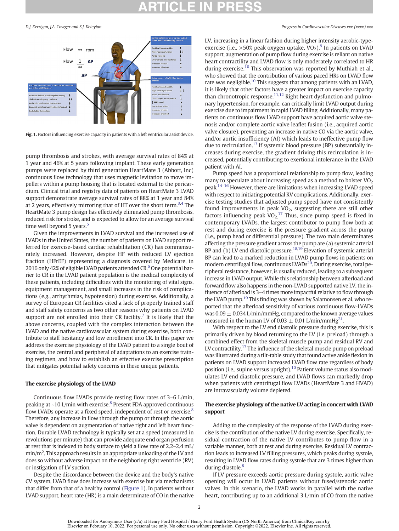

Fig. 1. Factors influencing exercise capacity in patients with a left ventricular assist device.

pump thrombosis and strokes, with average survival rates of 84% at 1 year and 46% at 5 years following implant. These early generation pumps were replaced by third generation HeartMate 3 (Abbott, Inc) continuous flow technology that uses magnetic levitation to move impellers within a pump housing that is located external to the pericardium. Clinical trial and registry data of patients on HeartMate 3 LVAD support demonstrate average survival rates of 88% at 1 year and 84% at 2 years, effectively mirroring that of HT over the short term.<sup>3,4</sup> The HeartMate 3 pump design has effectively eliminated pump thrombosis, reduced risk for stroke, and is expected to allow for an average survival time well beyond 5 years.<sup>5</sup>

Given the improvements in LVAD survival and the increased use of LVADs in the United States, the number of patients on LVAD support referred for exercise-based cardiac rehabilitation (CR) has commensurately increased. However, despite HF with reduced LV ejection fraction (HFrEF) representing a diagnosis covered by Medicare, in 201[6](#page-6-0) only 42% of eligible LVAD patients attended  $CR<sup>6</sup>$  One potential barrier to CR in the LVAD patient population is the medical complexity of these patients, including difficulties with the monitoring of vital signs, equipment management, and small increases in the risk of complications (e.g., arrhythmias, hypotension) during exercise. Additionally, a survey of European CR facilities cited a lack of properly trained staff and staff safety concerns as two other reasons why patients on LVAD support are not enrolled into their CR facility.<sup>[7](#page-6-0)</sup> It is likely that the above concerns, coupled with the complex interaction between the LVAD and the native cardiovascular system during exercise, both contribute to staff hesitancy and low enrollment into CR. In this paper we address the exercise physiology of the LVAD patient to a single bout of exercise, the central and peripheral of adaptations to an exercise training regimen, and how to establish an effective exercise prescription that mitigates potential safety concerns in these unique patients.

### The exercise physiology of the LVAD

Continuous flow LVADs provide resting flow rates of 3–6 L/min, peaking at  $\sim$ 10 L/min with exercise.<sup>[8](#page-6-0)</sup> Present FDA approved continuous flow LVADs operate at a fixed speed, independent of rest or exercise.<sup>[8](#page-6-0)</sup> Therefore, any increase in flow through the pump or through the aortic valve is dependent on augmentation of native right and left heart function. Durable LVAD technology is typically set at a speed (measured in revolutions per minute) that can provide adequate end organ perfusion at rest that is indexed to body surface to yield a flow rate of 2.2–2.4 mL/ min/m2 . This approach results in an appropriate unloading of the LV and does so without adverse impact on the neighboring right ventricle (RV) or instigation of LV suction.

Despite the discordance between the device and the body's native CV system, LVAD flow does increase with exercise but via mechanisms that differ from that of a healthy control (Figure 1). In patients without LVAD support, heart rate (HR) is a main determinate of CO in the native

### <span id="page-2-0"></span>D.J. Kerrigan, J.A. Cowger and S.J. Keteyian Progress in Cardiovascular Diseases xxx (xxxx) xxx

LV, increasing in a linear fashion during higher intensity aerobic-typeexercise (i.e.,  $>50\%$  peak oxygen uptake, VO<sub>2</sub>).<sup>[9](#page-6-0)</sup> In patients on LVAD support, augmentation of pump flow during exercise is reliant on native heart contractility and LVAD flow is only moderately correlated to HR during exercise.<sup>[10](#page-6-0)</sup> This observation was reported by Muthiah et al., who showed that the contribution of various paced HRs on LVAD flow rate was negligible.<sup>[10](#page-6-0)</sup> This suggests that among patients with an LVAD, it is likely that other factors have a greater impact on exercise capacity than chronotropic response.<sup>[11,12](#page-6-0)</sup> Right heart dysfunction and pulmonary hypertension, for example, can critically limit LVAD output during exercise due to impairment in rapid LVAD filling. Additionally, many patients on continuous flow LVAD support have acquired aortic valve stenosis and/or complete aortic valve leaflet fusion (i.e., acquired aortic valve closure), preventing an increase in native CO via the aortic valve, and/or aortic insufficiency (AI) which leads to ineffective pump flow due to recirculation.<sup>[13](#page-6-0)</sup> If systemic blood pressure (BP) substantially increases during exercise, the gradient driving this recirculation is increased, potentially contributing to exertional intolerance in the LVAD patient with AI.

Pump speed has a proportional relationship to pump flow, leading many to speculate about increasing speed as a method to bolster  $VO<sub>2</sub>$ peak.[14](#page-6-0)–<sup>16</sup> However, there are limitations when increasing LVAD speed with respect to initiating potential RV complications. Additionally, exercise testing studies that adjusted pump speed have not consistently found improvements in peak  $VO<sub>2</sub>$ , suggesting there are still other factors influencing peak  $VO<sub>2</sub>$ .<sup>[17](#page-6-0)</sup> Thus, since pump speed is fixed in contemporary LVADs, the largest contributor to pump flow both at rest and during exercise is the pressure gradient across the pump (i.e., pump head or differential pressure). The two main determinates affecting the pressure gradient across the pump are (a) systemic arterial BP and (b) LV end diastolic pressure.<sup>18,19</sup> Elevation of systemic arterial BP can lead to a marked reduction in LVAD pump flows in patients on modern centrifugal flow, continuous  $LVADs^{20}$ . During exercise, total peripheral resistance, however, is usually reduced, leading to a subsequent increase in LVAD output. While this relationship between afterload and forward flow also happens in the non-LVAD supported native LV, the influence of afterload is 3–4 times more impactful relative to flow through the LVAD pump.<sup>19</sup> This finding was shown by Salamonsen et al. who reported that the afterload sensitivity of various continuous flow-LVADs was  $0.09 \pm 0.034$  L/min/mmHg, compared to the known average values measured in the human LV of  $0.03 \pm 0.01$  L/min/mmHg<sup>21</sup>.

With respect to the LV end diastolic pressure during exercise, this is primarily driven by blood returning to the LV (i.e. preload) through a combined effect from the skeletal muscle pump and residual RV and LV contractility.<sup>17</sup> The influence of the skeletal muscle pump on preload was illustrated during a tilt-table study that found active ankle flexion in patients on LVAD support increased LVAD flow rate regardless of body position (i.e., supine versus upright).<sup>10</sup> Patient volume status also modulates LV end diastolic pressure, and LVAD flows can markedly drop when patients with centrifugal flow LVADs (HeartMate 3 and HVAD) are intravascularly volume depleted.

### The exercise physiology of the native LV acting in concert with LVAD support

Adding to the complexity of the response of the LVAD during exercise is the contribution of the native LV during exercise. Specifically, residual contraction of the native LV contributes to pump flow in a variable manner, both at rest and during exercise. Residual LV contraction leads to increased LV filling pressures, which peaks during systole, resulting in LVAD flow rates during systole that are 3 times higher than during diastole.<sup>8</sup>

If LV pressure exceeds aortic pressure during systole, aortic valve opening will occur in LVAD patients without fused/stenotic aortic valves. In this scenario, the LVAD works in parallel with the native heart, contributing up to an additional 3 L/min of CO from the native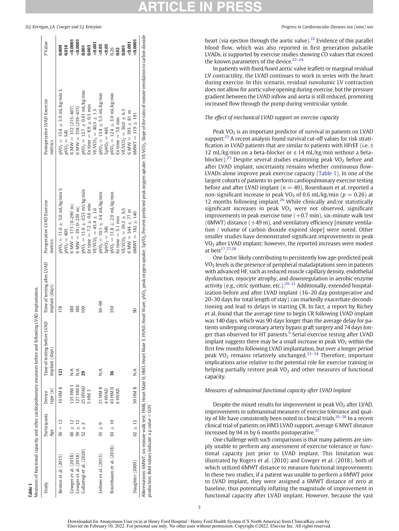| Study                                                                                 | Participants Device |              | Time of testing before LVAD | Time of testing after LVAD | Preoperative LVAD Exercise       | Postoperative LVAD Exercise                                                                                                                                                                      | P Value |
|---------------------------------------------------------------------------------------|---------------------|--------------|-----------------------------|----------------------------|----------------------------------|--------------------------------------------------------------------------------------------------------------------------------------------------------------------------------------------------|---------|
|                                                                                       | Age                 | type(n)      | implant (days)              | implant (days)             | metrics                          | metrics                                                                                                                                                                                          |         |
| Benton et al. (2015)                                                                  | $56 + 12$           | IO HM II     | 121                         | 178                        | $NO2 = 11.6 \pm 5.0$ mL/kg/min % | ৯ৎ<br>$NO_2 = 15.4 \pm 3.9$ mL/kg/min                                                                                                                                                            |         |
|                                                                                       |                     |              |                             |                            | $pVO_2 = 40%$                    | $pVO2 = 54%$                                                                                                                                                                                     | 010.0   |
| Cowger et al. (2018)                                                                  | $60 + 12$           | 135 HM 3     | $\frac{1}{2}$               | ≈                          | 6 MW = $173(0-290)$ m)           | 6 MW $=$ 312 (215-407)                                                                                                                                                                           | (0.000) |
| Cowger et al. (2018)                                                                  | $59 \pm 12$         | 127 HM II    | N/A                         | 80                         | $6$ MW $=$ 39 (0–259 m)          | 6 MW = $358(259-415)$                                                                                                                                                                            | 0.0007  |
| Gallastegi et al. (2020)                                                              | $52 \pm$            | 25 HVAD      | 29                          | $\frac{8}{2}$              | $pVO2 = 11.0 \pm 0.53$ mL/kg/min | $pVO2 = 12.7 \pm 0.61$ mL/kg/min                                                                                                                                                                 | 1,001   |
|                                                                                       |                     | 5 HM 3       |                             |                            | Ex time = $7.2 \pm 0.6$ min      | Ex time = $8.9 \pm 0.5$ min                                                                                                                                                                      | 0.003   |
|                                                                                       |                     |              |                             |                            | $VEVCO2 = 45.4 \pm 1.6$          | $VE/VCO2 = 40.3 \pm 1.3$                                                                                                                                                                         | 0.001   |
| Leibner et al. (2013)                                                                 | G)<br>$55 \pm$      | 21 HM II     | $\frac{1}{N}$               | $30 - 90$                  | $pVO2 = 10.1 \pm 3.4$ mL/kg/min  | $pVO_2 = 13.4 \pm 5.5$ mL/kg/min                                                                                                                                                                 | 0.05    |
|                                                                                       |                     | 1 HVAD       |                             |                            | $\%pVO2 = 34%$                   | $\frac{2}{9}N_0 = 44%$                                                                                                                                                                           | 0.05    |
| Rosenbaum et al. $(2018)$ 63 $\pm$ 10                                                 |                     | 43 HM II     | 36                          | 350                        | $pVO2 = 11.8 \pm 2.9$ mL/kg/min  | $pVO2 = 12.4 \pm 3.0$ mL/kg/min                                                                                                                                                                  | 0.26    |
|                                                                                       |                     | <b>GRVHS</b> |                             |                            | Ex time $=$ 5.1 min              | Ex time $= 5.8$ min                                                                                                                                                                              |         |
|                                                                                       |                     |              |                             |                            | $VE/VCO2 = 39.2 \pm 6.5$         | $VE/VCO2 = 36.0 ± 6.3$                                                                                                                                                                           | 1,001   |
|                                                                                       |                     |              |                             |                            | 6 MW = $344 \pm 77$ m            | $6$ MW = 393 $\pm$ 81 m                                                                                                                                                                          | < 0.001 |
| Slaughter (2009)                                                                      | $62 \pm 12$         | 50 HM II     | $\frac{1}{N}$               | 90                         | $6$ MWT = 182 $\pm$ 140          | $6$ MWT = 319 $\pm$ 191                                                                                                                                                                          | 200001  |
| Abbreviations: 6MWT, six-minute walk test; HMII, Heart Mate II; HM3, Heart Mate 3; HV |                     |              |                             |                            |                                  | AD, Heart Ware; pVO <sub>2,</sub> peak oxygen uptake; %pVO <sub>2</sub> , Percent predicted peak oxygen uptake; VE/VCO <sub>2</sub> , Slope of the ratio of minute ventilation to carbon dioxide |         |

Table 1

Measures of functional capacity and other cardiopulmonary measures before and following LVAD implantation.

Measures of functional capacity and other cardiopulmonary measures before and following LVAD implantation

D.J. Kerrigan, J.A. Cowger and S.J. Keteyian Progress in Cardiovascular Diseases xxx (xxxx) xxx

heart (via ejection through the aortic valve).<sup>[22](#page-6-0)</sup> Evidence of this parallel blood flow, which was also reported in first generation pulsatile LVADs, is supported by exercise studies showing CO values that exceed the known parameters of the device.<sup>22-24</sup>

In patients with fixed/fused aortic valve leaflets or marginal residual LV contractility, the LVAD continues to work in series with the heart during exercise. In this scenario, residual isovolumic LV contraction does not allow for aortic valve opening during exercise, but the pressure gradient between the LVAD inflow and aorta is still reduced, promoting increased flow through the pump during ventricular systole.

## The effect of mechanical LVAD support on exercise capacity

Peak VO<sub>2</sub> is an important predictor of survival in patients on LVAD support.<sup>25</sup> A recent analysis found survival cut-off values for risk stratification in LVAD patients that are similar to patients with HFrEF (i.e.  $\leq$ 12 mL/kg/min on a beta-blocker or  $\leq$  14 mL/kg/min without a beta-blocker).<sup>[25](#page-6-0)</sup> Despite several studies examining peak  $VO<sub>2</sub>$  before and after LVAD implant, uncertainty remains whether continuous flow-LVADs alone improve peak exercise capacity (Table 1). In one of the largest cohorts of patients to perform cardiopulmonary exercise testing before and after LVAD implant ( $n = 49$ ), Rosenbaum et al. reported a non-significant increase in peak VO<sub>2</sub> of 0.6 mL/kg/min ( $p = 0.26$ ) at 12 months following implant.<sup>[26](#page-6-0)</sup> While clinically and/or statistically significant increases in peak  $VO<sub>2</sub>$  were not observed, significant improvements in peak exercise time  $(+0.7 \text{ min})$ , six-minute walk test (6MWT) distance  $(+49 \text{ m})$ , and ventilatory efficiency [minute ventilation / volume of carbon dioxide expired slope] were noted. Other smaller studies have demonstrated significant improvements in peak VO<sub>2</sub> after LVAD implant; however, the reported increases were modest at best $17.27,28$  $17.27,28$  $17.27,28$ 

One factor likely contributing to persistently low age-predicted peak VO2 levels is the presence of peripheral maladaptations seen in patients with advanced HF, such as reduced muscle capillary density, endothelial dysfunction, myocyte atrophy, and downregulation in aerobic enzyme activity (e.g., citric synthase, etc.).<sup>29-31</sup> Additionally, extended hospitalization before and after LVAD implant (16–20 day postoperative and 20–30 days for total length of stay) can markedly exacerbate deconditioning and lead to delays in starting CR. In fact, a report by Richey et al. found that the average time to begin CR following LVAD implant was 140 days, which was 90 days longer than the average delay for patients undergoing coronary artery bypass graft surgery and 74 days lon-ger than observed for HT patients.<sup>[6](#page-6-0)</sup> Serial exercise testing after LVAD implant suggests there may be a small increase in peak  $VO<sub>2</sub>$  within the first few months following LVAD implantation, but over a longer period peak VO<sub>2</sub> remains relatively unchanged.<sup>[32](#page-6-0)-34</sup> Therefore, important implications arise relative to the potential role for exercise training in helping partially restore peak  $VO<sub>2</sub>$  and other measures of functional capacity.

### Measures of submaximal functional capacity after LVAD implant

Despite the mixed results for improvement in peak  $VO<sub>2</sub>$  after LVAD, improvements in submaximal measures of exercise tolerance and qual-ity of life have consistently been noted in clinical trials.<sup>[35](#page-7-0)-38</sup> In a recent clinical trial of patients on HM3 LVAD support, average 6 MWT distance increased by 94 m by 6 months postoperative. $37$ 

One challenge with such comparisons is that many patients are simply unable to perform any assessment of exercise tolerance or functional capacity just prior to LVAD implant. This limitation was illustrated by Rogers et al. (2010) and Cowger et al. (2018), both of which utilized 6MWT distance to measure functional improvements. In these two studies, if a patient was unable to perform a 6MWT prior to LVAD implant, they were assigned a 6MWT distance of zero at baseline, thus potentially inflating the magnitude of improvement in functional capacity after LVAD implant. However, because the vast

production. Bold values indicate a p value  $< 0.05$ 

production. Bold values indicate a p value  $< 0.05$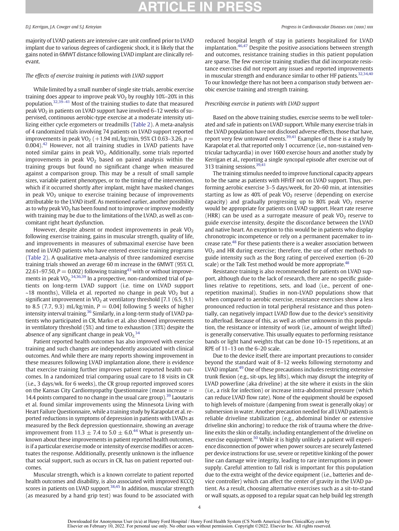# **RTICLE IN PR**

majority of LVAD patients are intensive care unit confined prior to LVAD implant due to various degrees of cardiogenic shock, it is likely that the gains noted in 6MWT distance following LVAD implant are clinically relevant.

### The effects of exercise training in patients with LVAD support

While limited by a small number of single site trials, aerobic exercise training does appear to improve peak VO<sub>2</sub> by roughly 10%–20% in this population.<sup>32[,39](#page-7-0)–41</sup> Most of the training studies to date that measured peak VO2 in patients on LVAD support have involved 6–12 weeks of supervised, continuous aerobic-type exercise at a moderate intensity utilizing either cycle ergometers or treadmills ([Table 2\)](#page-5-0). A meta-analysis of 4 randomized trials involving 74 patients on LVAD support reported improvements in peak VO<sub>2</sub> (+1.94 mL/kg/min, 95% CI 0.63–3.26, p = 0.004).[42](#page-7-0) However, not all training studies in LVAD patients have noted similar gains in peak VO<sub>2</sub>. Additionally, some trials reported improvements in peak  $VO<sub>2</sub>$  based on paired analysis within the training groups but found no significant change when measured against a comparison group. This may be a result of small sample sizes, variable patient phenotypes, or to the timing of the intervention, which if it occurred shortly after implant, might have masked changes in peak  $VO<sub>2</sub>$  unique to exercise training because of improvements attributable to the LVAD itself. As mentioned earlier, another possibility as to why peak  $VO<sub>2</sub>$  has been found not to improve or improve modestly with training may be due to the limitations of the LVAD, as well as concomitant right heart dysfunction.

However, despite absent or modest improvements in peak  $VO<sub>2</sub>$ following exercise training, gains in muscular strength, quality of life, and improvements in measures of submaximal exercise have been noted in LVAD patients who have entered exercise training programs ([Table 2\)](#page-5-0). A qualitative meta-analysis of three randomized exercise training trials showed an average 60 m increase in the 6MWT (95% CI, 22.61–97.50,  $P = 0.002$ ) following training<sup>[43](#page-7-0)</sup> with or without improve-ments in peak VO<sub>2</sub>.<sup>[34,36,39](#page-7-0)</sup> In a prospective, non-randomized trial of patients on long-term LVAD support (i.e. time on LVAD support  $\sim$ 18 months), Villela et al. reported no change in peak VO<sub>2</sub> but a significant improvement in  $VO<sub>2</sub>$  at ventilatory threshold [7.1 (6.5, 9.1) to 8.5 (7.7, 9.3) mL/kg/min,  $P = 0.04$  following 5 weeks of higher intensity interval training.<sup>[36](#page-7-0)</sup> Similarly, in a long-term study of LVAD patients who participated in CR, Marko et al. also showed improvements in ventilatory threshold (5%) and time to exhaustion (33%) despite the absence of any significant change in peak  $\text{VO}_2$ <sup>[34](#page-7-0)</sup>

Patient reported health outcomes has also improved with exercise training and such changes are independently associated with clinical outcomes. And while there are many reports showing improvement in these measures following LVAD implantation alone, there is evidence that exercise training further improves patient reported health outcomes. In a randomized trial comparing usual care to 18 visits in CR (i.e., 3 days/wk. for 6 weeks), the CR group reported improved scores on the Kansas City Cardiomyopathy Questionnaire (mean increase  $=$ 14.4 points compared to no change in the usual care group).<sup>39</sup> Laoutaris et al. found similar improvements using the Minnesota Living with Heart Failure Questionnaire, while a training study by Karapolat et al. reported reductions in symptoms of depression in patients with LVADs as measured by the Beck depression questionnaire, showing an average improvement from 11.3  $\pm$  7.4 to 5.0  $\pm$  6.0.<sup>[44](#page-7-0)</sup> What is presently unknown about these improvements in patient reported health outcomes, is if a particular exercise mode or intensity of exercise modifies or accentuates the response. Additionally, presently unknown is the influence that social support, such as occurs in CR, has on patient reported outcomes.

Muscular strength, which is a known correlate to patient reported health outcomes and disability, is also associated with improved KCCQ scores in patients on LVAD support.<sup>[38](#page-7-0),[45](#page-7-0)</sup> In addition, muscular strength (as measured by a hand grip test) was found to be associated with

### D.J. Kerrigan, J.A. Cowger and S.J. Keteyian Progress in Cardiovascular Diseases xxx (xxxx) xxx

reduced hospital length of stay in patients hospitalized for LVAD implantation. $46,47$  Despite the positive associations between strength and outcomes, resistance training studies in this patient population are sparse. The few exercise training studies that did incorporate resistance exercises did not report any issues and reported improvements in muscular strength and endurance similar to other HF patients.<sup>[32](#page-6-0)[,34,40](#page-7-0)</sup> To our knowledge there has not been a comparison study between aerobic exercise training and strength training.

### Prescribing exercise in patients with LVAD support

Based on the above training studies, exercise seems to be well tolerated and safe in patients on LVAD support. While many exercise trials in the LVAD population have not disclosed adverse effects, those that have, report very few untoward events.<sup>39,[41](#page-7-0)</sup> Examples of these is a study by Karapolat et al. that reported only 1 occurrence (i.e., non-sustained ventricular tachycardia) in over 1600 exercise hours and another study by Kerrigan et al., reporting a single syncopal episode after exercise out of 313 training sessions.<sup>39,41</sup>

The training stimulus needed to improve functional capacity appears to be the same as patients with HFrEF not on LVAD support. Thus, performing aerobic exercise 3–5 days/week, for 20–60 min, at intensities starting as low as  $40\%$  of peak VO<sub>2</sub> reserve (depending on exercise capacity) and gradually progressing up to 80% peak  $VO<sub>2</sub>$  reserve would be appropriate for patients on LVAD support. Heart rate reserve (HRR) can be used as a surrogate measure of peak  $VO<sub>2</sub>$  reserve to guide exercise intensity, despite the discordance between the LVAD and native heart. An exception to this would be in patients who display chronotropic incompetence or rely on a permanent pacemaker to increase rate[.48](#page-7-0) For these patients there is a weaker association between VO2 and HR during exercise; therefore, the use of other methods to guide intensity such as the Borg rating of perceived exertion (6–20 scale) or the Talk Test method would be more appropriate.<sup>48</sup>

Resistance training is also recommended for patients on LVAD support, although due to the lack of research, there are no specific guidelines relative to repetitions, sets, and load (i.e., percent of onerepetition maximal). Studies in non-LVAD populations show that when compared to aerobic exercise, resistance exercises show a less pronounced reduction in total peripheral resistance and thus potentially, can negatively impact LVAD flow due to the device's sensitivity to afterload. Because of this, as well as other unknowns in this population, the resistance or intensity of work (i.e., amount of weight lifted) is generally conservative. This usually equates to performing resistance bands or light hand weights that can be done 10–15 repetitions, at an RPE of 11–13 on the 6–20 scale.

Due to the device itself, there are important precautions to consider beyond the standard wait of 8–12 weeks following sternotomy and LVAD implant[.49](#page-7-0) One of these precautions includes restricting extensive trunk flexion (e.g., sit-ups, leg lifts), which may disrupt the integrity of LVAD powerline (aka driveline) at the site where it exists in the skin (i.e., a risk for infection) or increase intra-abdominal pressure (which can reduce LVAD flow rate). None of the equipment should be exposed to high levels of moisture (dampening from sweat is generally okay) or submersion in water. Another precaution needed for all LVAD patients is reliable driveline stabilization (e.g., abdominal binder or extensive driveline skin anchoring) to reduce the risk of trauma where the driveline exits the skin or distally, including entanglement of the driveline on exercise equipment.<sup>50</sup> While it is highly unlikely a patient will experience disconnection of power when power sources are securely fastened per device instructions for use, severe or repetitive kinking of the power line can damage wire integrity, leading to rare interruptions in power supply. Careful attention to fall risk is important for this population due to the extra weight of the device equipment (i.e., batteries and device controller) which can affect the center of gravity in the LVAD patient. As a result, choosing alternative exercises such as a sit-to-stand or wall squats, as opposed to a regular squat can help build leg strength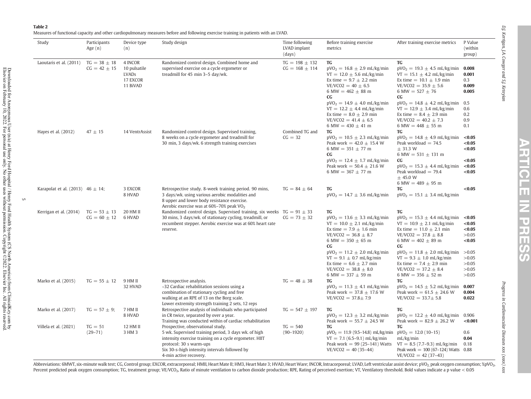<span id="page-5-0"></span>Measures of functional capacity and other cardiopulmonary measures before and following exercise training in patients with an LVAD.

| Study                                    | Participants<br>Age $(n)$            | Device type<br>(n)                                       | Study design                                                                                                                                                                                                                                              | Time following<br>LVAD implant<br>(days) | Before training exercise<br>metrics                                                                                                                                                                                                                                                                               | After training exercise metrics                                                                                                                                                                                                                                                                                         | P Value<br>(within<br>group)                                            |
|------------------------------------------|--------------------------------------|----------------------------------------------------------|-----------------------------------------------------------------------------------------------------------------------------------------------------------------------------------------------------------------------------------------------------------|------------------------------------------|-------------------------------------------------------------------------------------------------------------------------------------------------------------------------------------------------------------------------------------------------------------------------------------------------------------------|-------------------------------------------------------------------------------------------------------------------------------------------------------------------------------------------------------------------------------------------------------------------------------------------------------------------------|-------------------------------------------------------------------------|
| Laoutaris et al. (2011) $TG = 38 \pm 18$ | $CG = 42 \pm 15$                     | 4 INCOR<br>10 pulsatile<br>LVADs<br>17 EXCOR<br>11 BiVAD | Randomized control design. Combined home and<br>supervised exercise on a cycle ergometer or<br>treadmill for 45 min 3-5 day/wk.                                                                                                                           | $TG = 198 \pm 132$<br>$CG = 168 \pm 114$ | TG<br>$pVO2 = 16.8 \pm 2.9$ mL/kg/min<br>$VT = 12.0 \pm 5.6$ mL/kg/min<br>Ex time = $9.7 \pm 2.2$ min<br>$VE/VCO2 = 40 \pm 6.5$<br>6 MW = $462 \pm 88$ m<br>$_{\rm CG}$<br>$pVO2 = 14.9 \pm 4.0$ mL/kg/min<br>$VT = 12.2 \pm 4.4 \text{ mL/kg/min}$<br>Ex time = $8.0 \pm 2.9$ min                                | <b>TG</b><br>$pVO_2 = 19.3 \pm 4.5$ mL/kg/min<br>$VT = 15.1 \pm 4.2$ mL/kg/min<br>Ex time = $10.1 \pm 1.9$ min<br>$VE/VCO2 = 35.9 \pm 5.6$<br>6 MW = $527 \pm 76$<br><b>CG</b><br>$pVO2 = 14.8 \pm 4.2$ mL/kg/min 0.5<br>$VT = 12.9 \pm 3.4$ mL/kg/min<br>Ex time = $8.4 \pm 2.9$ min                                   | 0.008<br>0.001<br>0.3<br>0.009<br>0.005<br>0.6<br>0.2                   |
| Hayes et al. (2012)                      | $47 \pm 15$                          | 14 VentrAssist                                           | Randomized control design. Supervised training,<br>8 weeks on a cycle ergometer and treadmill for<br>30 min, 3 days/wk, 6 strength training exercises                                                                                                     | Combined TG and<br>$CG = 32$             | $VE/VCO2 = 41.4 \pm 6.5$<br>6 MW = $430 \pm 41$ m<br><b>TG</b><br>$pVO_2 = 10.5 \pm 2.3$ mL/kg/min<br>Peak work = $42.0 \pm 15.4$ W<br>6 MW = $351 \pm 77$ m<br>$_{\rm CG}$<br>$pVO2 = 12.4 \pm 1.7$ mL/kg/min                                                                                                    | $VE/VCO2 = 40.2 \pm 7.3$<br>6 MW = $448 \pm 55$ m<br>TG<br>$pVO_2 = 14.8 \pm 4.9 \text{ mL/kg/min}$<br>Peak workload $= 74.5$<br>$\pm$ 31.3 W<br>6 MW = $531 \pm 131$ m<br><b>CG</b>                                                                                                                                    | 0.9<br>0.1<br>< 0.05<br>< 0.05<br>< 0.05<br>< 0.05                      |
|                                          |                                      |                                                          |                                                                                                                                                                                                                                                           |                                          | Peak work = $50.4 \pm 21.6$ W<br>6 MW = $367 \pm 77$ m                                                                                                                                                                                                                                                            | $pVO_2 = 15.3 \pm 4.4$ mL/kg/min<br>Peak workload $= 79.4$<br>$\pm$ 45.0 W<br>6 MW = $489 \pm 95$ m                                                                                                                                                                                                                     | < 0.05<br>< 0.05                                                        |
| Karapolat et al. (2013) $46 \pm 14$ ;    |                                      | 3 EXCOR<br>8 HVAD                                        | Retrospective study. 8-week training period. 90 mins,<br>3 days/wk. using various aerobic modalities and<br>8 upper and lower body resistance exercise.<br>Aerobic exercise was at 60%-70% peak VO <sub>2</sub>                                           | $TG = 84 \pm 64$                         | <b>TG</b><br>$pVO2 = 14.7 \pm 3.6$ mL/kg/min                                                                                                                                                                                                                                                                      | TG<br>$pVO_2 = 15.1 \pm 3.4$ mL/kg/min                                                                                                                                                                                                                                                                                  | < 0.05                                                                  |
| Kerrigan et al. (2014)                   | $TG = 53 \pm 13$<br>$CG = 60 \pm 12$ | 20 HM II<br>6 HVAD                                       | Randomized control design. Supervised training, six weeks $TG = 91 \pm 33$<br>30 mins, 3 days/wk. of stationary cycling, treadmill, or<br>recumbent stepper. Aerobic exercise was at 60% heart rate<br>reserve.                                           | $CG = 73 \pm 32$                         | TG<br>$pVO_2 = 13.6 \pm 3.3$ mL/kg/min<br>$VT = 10.0 \pm 2.1$ mL/kg/min<br>Ex time = $7.9 \pm 1.6$ min<br>$VE/VCO2 = 36.8 \pm 8.7$<br>6 MW = $350 \pm 65$ m<br>$_{\rm CG}$<br>$pVO_2 = 11.2 \pm 2.0$ mL/kg/min<br>$VT = 9.1 \pm 0.7 \text{ mL/kg/min}$<br>Ex time = $6.6 \pm 2.7$ min<br>$VE/VCO2 = 38.8 \pm 8.0$ | TG<br>$pVO_2 = 15.3 \pm 4.4$ mL/kg/min <0.05<br>$VT = 10.9 \pm 2.1$ mL/kg/min<br>Ex time = $11.0 \pm 2.1$ min<br>$VE/VCO2 = 37.8 \pm 8.8$<br>6 MW = $402 \pm 89$ m<br>CG<br>$pVO_2 = 11.8 \pm 2.0 \text{ mL/kg/min}$<br>$VT = 9.3 \pm 1.0 \text{ mL/kg/min}$<br>Ex time = $7.4 \pm 2.9$ min<br>$VE/VCO2 = 37.2 \pm 8.4$ | < 0.05<br>< 0.05<br>>0.05<br>< 0.05<br>>0.05<br>>0.05<br>>0.05<br>>0.05 |
| Marko et al. (2015)                      | $TG = 55 \pm 12$                     | 9 HM II<br>32 HVAD                                       | Retrospective analysis.<br>~32 Cardiac rehabilitation sessions using a<br>combination of stationary cycling and free<br>walking at an RPE of 13 on the Borg scale.<br>Lower extremity strength training 2 sets, 12 reps                                   | $TG = 48 \pm 38$                         | 6 MW = 337 $\pm$ 59 m<br>TG<br>$pVO_2 = 11.3 \pm 4.1$ mL/kg/min<br>Peak work = $37.8 \pm 17.6$ W<br>$VE/VCO2 = 37.8 \pm 7.9$                                                                                                                                                                                      | 6 MW = $356 \pm 52$ m<br>TG<br>$pVO_2 = 14.5 \pm 5.2$ mL/kg/min<br>Peak work = $61.5 \pm 24.6$ W<br>$VE/VCO2 = 33.7 \pm 5.8$                                                                                                                                                                                            | >0.05<br>0.007<br>0.004<br>0.022                                        |
| Marko et al. (2017)                      | $TG = 57 \pm 9$ ;                    | 7 HM II<br>8 HVAD                                        | Retrospective analysis of individuals who participated<br>in CR twice, separated by over a year.<br>Training was conducted within of cardiac rehabilitation                                                                                               | $TG = 547 \pm 197$                       | <b>TG</b><br>$pVO_2 = 12.3 \pm 3.2$ mL/kg/min<br>Peak work = $55.7 \pm 24.5$ W                                                                                                                                                                                                                                    | TG<br>$pVO_2 = 12.2 \pm 4.0 \text{ mL/kg/min}$<br>Peak work = $82.9 \pm 26.2$ W                                                                                                                                                                                                                                         | 0.906<br>< 0.001                                                        |
| Villela et al. (2021)                    | $TG = 51$<br>$(29 - 71)$             | 12 HM II<br>3 HM 3                                       | Prospective, observational study.<br>5 wk. Supervised training period, 3 days wk. of high<br>intensity exercise training on a cycle ergometer. HIIT<br>protocol: 30 s warm-ups<br>Six 30-s-high intensity intervals followed by<br>4-min active recovery. | $TG = 540$<br>$(90-1920)$                | TG<br>$pVO2 = 11.9 (9.5–14.8) mL/kg/min$<br>$VT = 7.1(6.5-9.1)$ mL/kg/min<br>Peak work = $99(25-141)$ Watts<br>$VE/VCO2 = 40(35-44)$                                                                                                                                                                              | TG<br>$pVO2 = 12.0(10-15)$<br>mL/kg/min<br>$VT = 8.5 (7.7-9.3)$ mL/kg/min<br>Peak work = $100(67-124)$ Watts 0.88<br>$VE/VCO2 = 42(37-43)$                                                                                                                                                                              | 0.6<br>0.04<br>0.18                                                     |

**ARTICLE IN PRE** <u>(၇</u><br>(၇

Progress

in Cardiovascular Diseases

Elsevier on February 10, 2022. For personal use only. No other uses without permission. Copyright ©2022. Elsevier Inc. All rights reserved.

<u>ሆነ</u>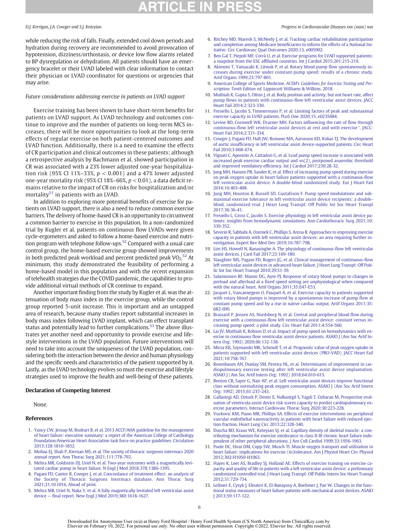# **RTICLE IN PR**

while reducing the risk of falls. Finally, extended cool down periods and hydration during recovery are recommended to avoid provocation of hypotension, dizziness/orthostasis, or device low flow alarms related to BP dysregulation or dehydration. All patients should have an emergency bracelet or their LVAD labeled with clear information to contact their physician or LVAD coordinator for questions or urgencies that may arise.

### Future considerations addressing exercise in patients on LVAD support

Exercise training has been shown to have short-term benefits for patients on LVAD support. As LVAD technology and outcomes continue to improve and the number of patients on long-term MCS increases, there will be more opportunities to look at the long-term effects of regular exercise on both patient-centered outcomes and LVAD function. Additionally, there is a need to examine the effects of CR participation and clinical outcomes in these patients; although a retrospective analysis by Bachmann et al. showed participation in CR was associated with a 23% lower adjusted one-year hospitalization risk (95% CI 11%–33%,  $p < 0.001$ ) and a 47% lower adjusted one-year mortality risk (95% CI 18%–66%,  $p < 0.01$ ), a data deficit remains relative to the impact of CR on risks for hospitalization and/or mortality<sup>[51](#page-7-0)</sup> in patients with an LVAD.

In addition to exploring more potential benefits of exercise for patients on LVAD support, there is also a need to reduce common exercise barriers. The delivery of home-based CR is an opportunity to circumvent a common barrier to exercise in this population. In a non-randomized trial by Kugler et al. patients on continuous flow LVADs were given cycle-ergometers and asked to follow a home-based exercise and nutrition program with telephone follow-ups[.52](#page-7-0) Compared with a usual care control group, the home-based exercise group showed improvements in both predicted peak workload and percent predicted peak  $VO_2$ <sup>[52](#page-7-0)</sup> At minimum, this study demonstrated the feasibility of performing a home-based model in this population and with the recent expansion of telehealth strategies due the COVID pandemic, the capabilities to provide additional virtual methods of CR continue to expand.

Another important finding from the study by Kugler et al. was the attenuation of body mass index in the exercise group, while the control group reported 5-unit increase. This is important and an untapped area of research, because many studies report substantial increases in body mass index following LVAD implant, which can effect transplant status and potentially lead to further complications.<sup>53</sup> The above illustrates yet another need and opportunity to provide exercise and lifestyle interventions in the LVAD population. Future interventions will need to take into account the uniqueness of the LVAD population, considering both the interaction between the device and human physiology and the specific needs and characteristics of the patient supported by it. Lastly, as the LVAD technology evolves so must the exercise and lifestyle strategies used to improve the health and well-being of these patients.

### Declaration of Competing Interest

None.

- 1. [Yancy CW, Jessup M, Bozkurt B, et al. 2013 ACCF/AHA guideline for the management](http://refhub.elsevier.com/S0033-0620(21)00134-1/rf0005) [of heart failure: executive summary: a report of the American College of Cardiology](http://refhub.elsevier.com/S0033-0620(21)00134-1/rf0005) [Foundation/American Heart Association task force on practice guidelines. Circulation](http://refhub.elsevier.com/S0033-0620(21)00134-1/rf0005) [2013;128:1810-1852.](http://refhub.elsevier.com/S0033-0620(21)00134-1/rf0005)
- 2. [Molina EJ, Shah P, Kiernan MS, et al. The society of thoracic surgeons intermacs 2020](http://refhub.elsevier.com/S0033-0620(21)00134-1/rf0010) [annual report. Ann Thorac Surg 2021;111:778-792.](http://refhub.elsevier.com/S0033-0620(21)00134-1/rf0010)
- 3. [Mehra MR, Goldstein DJ, Uriel N, et al. Two-year outcomes with a magnetically levi](http://refhub.elsevier.com/S0033-0620(21)00134-1/rf0015)[tated cardiac pump in heart failure. N Engl J Med 2018;378:1386-1395.](http://refhub.elsevier.com/S0033-0620(21)00134-1/rf0015)
- 4. [Pagani FD, Cantor R, Cowger J, et al. Concordance of treatment effect: an analysis of](http://refhub.elsevier.com/S0033-0620(21)00134-1/rf0020) [the Society of Thoracic Surgeons Intermacs database. Ann Thorac Surg](http://refhub.elsevier.com/S0033-0620(21)00134-1/rf0020) [2021;21.10.1016, Ahead of print.](http://refhub.elsevier.com/S0033-0620(21)00134-1/rf0020)
- 5. [Mehra MR, Uriel N, Naka Y, et al. A fully magnetically levitated left ventricular assist](http://refhub.elsevier.com/S0033-0620(21)00134-1/rf0025) device — fi[nal report. New Engl J Med 2019;380:1618-1627.](http://refhub.elsevier.com/S0033-0620(21)00134-1/rf0025)

### <span id="page-6-0"></span>D.J. Kerrigan, J.A. Cowger and S.J. Keteyian Progress in Cardiovascular Diseases xxx (xxxx) xxx

- 6. [Ritchey MD, Maresh S, McNeely J, et al. Tracking cardiac rehabilitation participation](http://refhub.elsevier.com/S0033-0620(21)00134-1/rf0030) and completion among Medicare benefi[ciaries to inform the efforts of a National Ini](http://refhub.elsevier.com/S0033-0620(21)00134-1/rf0030)[tiative. Circ Cardiovasc Qual Outcomes 2020;13, e005902.](http://refhub.elsevier.com/S0033-0620(21)00134-1/rf0030)
- 7. [Ben Gal T, Piepoli MF, Corrà U, et al. Exercise programs for LVAD supported patients:](http://refhub.elsevier.com/S0033-0620(21)00134-1/rf0035) a snapshot from the ESC affi[liated countries. Int J Cardiol 2015;201:215-219.](http://refhub.elsevier.com/S0033-0620(21)00134-1/rf0035)
- 8. [Akimoto T, Yamazaki K, Litwak P, et al. Rotary blood pump](http://refhub.elsevier.com/S0033-0620(21)00134-1/rf0040) flow spontaneously in[creases during exercise under constant pump speed: results of a chronic study.](http://refhub.elsevier.com/S0033-0620(21)00134-1/rf0040) [Artif Organs 1999;23:797-801.](http://refhub.elsevier.com/S0033-0620(21)00134-1/rf0040)
- 9. American College of Sports Medicine. ACSM'[s Guidelines for Exercise Testing and Pre](http://refhub.elsevier.com/S0033-0620(21)00134-1/rf0045)scription. Tenth Edition ed. [Lippincott Williams & Wilkins. 2018.](http://refhub.elsevier.com/S0033-0620(21)00134-1/rf0045)
- 10. [Muthiah K, Gupta S, Otton J, et al. Body position and activity, but not heart rate, affect](http://refhub.elsevier.com/S0033-0620(21)00134-1/rf0050) pump flows in patients with continuous-fl[ow left ventricular assist devices. JACC](http://refhub.elsevier.com/S0033-0620(21)00134-1/rf0050) [Heart Fail 2014;2:323-330.](http://refhub.elsevier.com/S0033-0620(21)00134-1/rf0050)
- 11. [Fresiello L, Jacobs S, Timmermans P, et al. Limiting factors of peak and submaximal](http://refhub.elsevier.com/S0033-0620(21)00134-1/rf0055) [exercise capacity in LVAD patients. PLoS One 2020;15, e0235684.](http://refhub.elsevier.com/S0033-0620(21)00134-1/rf0055)
- 12. [Levine BD, Cornwell WK, Drazner MH. Factors in](http://refhub.elsevier.com/S0033-0620(21)00134-1/rf0060)fluencing the rate of flow through continuous-fl[ow](http://refhub.elsevier.com/S0033-0620(21)00134-1/rf0060) [left](http://refhub.elsevier.com/S0033-0620(21)00134-1/rf0060) [ventricular](http://refhub.elsevier.com/S0033-0620(21)00134-1/rf0060) [assist](http://refhub.elsevier.com/S0033-0620(21)00134-1/rf0060) [devices](http://refhub.elsevier.com/S0033-0620(21)00134-1/rf0060) [at](http://refhub.elsevier.com/S0033-0620(21)00134-1/rf0060) [rest](http://refhub.elsevier.com/S0033-0620(21)00134-1/rf0060) [and](http://refhub.elsevier.com/S0033-0620(21)00134-1/rf0060) [with](http://refhub.elsevier.com/S0033-0620(21)00134-1/rf0060) [exercise](http://refhub.elsevier.com/S0033-0620(21)00134-1/rf0060) <sup>∗</sup> [. JACC:](http://refhub.elsevier.com/S0033-0620(21)00134-1/rf0060) [Heart Fail 2014;2:331-334.](http://refhub.elsevier.com/S0033-0620(21)00134-1/rf0060)
- 13. [Cowger J, Pagani FD, Haft JW, Romano MA, Aaronson KD, Kolias TJ. The development](http://refhub.elsevier.com/S0033-0620(21)00134-1/rf0065) of aortic insuffi[ciency in left ventricular assist device-supported patients. Circ Heart](http://refhub.elsevier.com/S0033-0620(21)00134-1/rf0065) [Fail 2010;3:668-674.](http://refhub.elsevier.com/S0033-0620(21)00134-1/rf0065)
- 14. [Vignati C, Apostolo A, Cattadori G, et al. Lvad pump speed increase is associated with](http://refhub.elsevier.com/S0033-0620(21)00134-1/rf0070) [increased peak exercise cardiac output and vo\(2\), postponed anaerobic threshold](http://refhub.elsevier.com/S0033-0620(21)00134-1/rf0070) and improved ventilatory effi[ciency. Int J Cardiol 2017;230:28-32.](http://refhub.elsevier.com/S0033-0620(21)00134-1/rf0070)
- 15. [Jung MH, Hansen PB, Sander K, et al. Effect of increasing pump speed during exercise](http://refhub.elsevier.com/S0033-0620(21)00134-1/rf0075) [on peak oxygen uptake in heart failure patients supported with a continuous-](http://refhub.elsevier.com/S0033-0620(21)00134-1/rf0075)flow [left ventricular assist device. A double-blind randomized study. Eur J Heart Fail](http://refhub.elsevier.com/S0033-0620(21)00134-1/rf0075) [2014;16:403-408.](http://refhub.elsevier.com/S0033-0620(21)00134-1/rf0075)
- 16. [Jung MH, Houston B, Russell SD, Gustafsson F. Pump speed modulations and sub](http://refhub.elsevier.com/S0033-0620(21)00134-1/rf0080)[maximal exercise tolerance in left ventricular assist device recipients: a double](http://refhub.elsevier.com/S0033-0620(21)00134-1/rf0080)[blind, randomized trial. J Heart Lung Transpl: Off Public Int Soc Heart Transpl](http://refhub.elsevier.com/S0033-0620(21)00134-1/rf0080) [2017;36:36-41.](http://refhub.elsevier.com/S0033-0620(21)00134-1/rf0080)
- 17. [Fresiello L, Gross C, Jacobs S. Exercise physiology in left ventricular assist device pa](http://refhub.elsevier.com/S0033-0620(21)00134-1/rf0085)[tients: insights from hemodynamic simulations. Ann Cardiothoracic Surg 2021;10:](http://refhub.elsevier.com/S0033-0620(21)00134-1/rf0085) [339-352.](http://refhub.elsevier.com/S0033-0620(21)00134-1/rf0085)
- 18. [Severin R, Sabbahi A, Ozemek C, Phillips S, Arena R. Approaches to improving exercise](http://refhub.elsevier.com/S0033-0620(21)00134-1/rf0090) [capacity in patients with left ventricular assist devices: an area requiring further in](http://refhub.elsevier.com/S0033-0620(21)00134-1/rf0090)[vestigation. Expert Rev Med Dev 2019;16:787-798.](http://refhub.elsevier.com/S0033-0620(21)00134-1/rf0090)
- 19. [Lim HS, Howell N, Ranasinghe A. The physiology of continuous-](http://refhub.elsevier.com/S0033-0620(21)00134-1/rf0095)flow left ventricular [assist devices. J Card Fail 2017;23:169-180.](http://refhub.elsevier.com/S0033-0620(21)00134-1/rf0095)
- 20. [Slaughter MS, Pagani FD, Rogers JG, et al. Clinical management of continuous-](http://refhub.elsevier.com/S0033-0620(21)00134-1/rf0100)flow [left ventricular assist devices in advanced heart failure. J Heart Lung Transpl: Off Pub](http://refhub.elsevier.com/S0033-0620(21)00134-1/rf0100)[lic Int Soc Heart Transpl 2010;29:S1-39.](http://refhub.elsevier.com/S0033-0620(21)00134-1/rf0100)
- 21. [Salamonsen RF, Mason DG, Ayre PJ. Response of rotary blood pumps to changes in](http://refhub.elsevier.com/S0033-0620(21)00134-1/rf0105) preload and afterload at a fi[xed speed setting are unphysiological when compared](http://refhub.elsevier.com/S0033-0620(21)00134-1/rf0105) [with the natural heart. Artif Organs 2011;35:E47-E53.](http://refhub.elsevier.com/S0033-0620(21)00134-1/rf0105)
- 22. [Jacquet L, Vancaenegem O, Pasquet A, et al. Exercise capacity in patients supported](http://refhub.elsevier.com/S0033-0620(21)00134-1/rf0110) [with rotary blood pumps is improved by a spontaneous increase of pump](http://refhub.elsevier.com/S0033-0620(21)00134-1/rf0110) flow at [constant pump speed and by a rise in native cardiac output. Artif Organs 2011;35:](http://refhub.elsevier.com/S0033-0620(21)00134-1/rf0110) [682-690.](http://refhub.elsevier.com/S0033-0620(21)00134-1/rf0110)
- 23. [Brassard P, Jensen AS, Nordsborg N, et al. Central and peripheral blood](http://refhub.elsevier.com/S0033-0620(21)00134-1/rf0115) flow during exercise with a continuous-fl[ow left ventricular assist device: constant versus in](http://refhub.elsevier.com/S0033-0620(21)00134-1/rf0115)[creasing pump speed: a pilot study. Circ Heart Fail 2011;4:554-560.](http://refhub.elsevier.com/S0033-0620(21)00134-1/rf0115)
- 24. [Lai JV, Muthiah K, Robson D, et al. Impact of pump speed on hemodynamics with ex](http://refhub.elsevier.com/S0033-0620(21)00134-1/rf0120)ercise in continuous fl[ow ventricular assist device patients. ASAIO J \(Am Soc Artif In](http://refhub.elsevier.com/S0033-0620(21)00134-1/rf0120)[tern Org: 1992\) 2020;66:132-138.](http://refhub.elsevier.com/S0033-0620(21)00134-1/rf0120)
- 25. [Mirza KK, Szymanski MK, Schmidt T, et al. Prognostic value of peak oxygen uptake in](http://refhub.elsevier.com/S0033-0620(21)00134-1/rf0125) [patients supported with left ventricular assist devices \(PRO-VAD\). JACC Heart Fail](http://refhub.elsevier.com/S0033-0620(21)00134-1/rf0125) [2021;10:758-767.](http://refhub.elsevier.com/S0033-0620(21)00134-1/rf0125)
- 26. [Rosenbaum AN, Dunlay SM, Pereira NL, et al. Determinants of improvement in car](http://refhub.elsevier.com/S0033-0620(21)00134-1/rf0130)[diopulmonary exercise testing after left ventricular assist device implantation.](http://refhub.elsevier.com/S0033-0620(21)00134-1/rf0130) [ASAIO J \(Am Soc Artif Intern Org: 1992\) 2018;64:610-615.](http://refhub.elsevier.com/S0033-0620(21)00134-1/rf0130)
- 27. [Benton CR, Sayer G, Nair AP, et al. Left ventricular assist devices improve functional](http://refhub.elsevier.com/S0033-0620(21)00134-1/rf0135) [class without normalizing peak oxygen consumption. ASAIO J \(Am Soc Artif Intern](http://refhub.elsevier.com/S0033-0620(21)00134-1/rf0135) [Org: 1992\) 2015;61:237-243.](http://refhub.elsevier.com/S0033-0620(21)00134-1/rf0135)
- 28. [Gallastegi AD, Ozturk P, Demir E, Nalbantgil S, Yagdi T, Ozbaran M. Prospective eval](http://refhub.elsevier.com/S0033-0620(21)00134-1/rf0140)[uation of ventricula assist device risk scores capacity to predict cardiopulmonary ex](http://refhub.elsevier.com/S0033-0620(21)00134-1/rf0140)[ercise parameters. Interact Cardiovasc Thorac Surg 2020;30:223-228.](http://refhub.elsevier.com/S0033-0620(21)00134-1/rf0140)
- 29. [Vuckovic KM, Piano MR, Phillips SA. Effects of exercise interventions on peripheral](http://refhub.elsevier.com/S0033-0620(21)00134-1/rf0145) [vascular endothelial vasoreactivity in patients with heart failure with reduced ejec](http://refhub.elsevier.com/S0033-0620(21)00134-1/rf0145)[tion fraction. Heart Lung Circ 2013;22:328-340.](http://refhub.elsevier.com/S0033-0620(21)00134-1/rf0145)
- 30. [Duscha BD, Kraus WE, Keteyian SJ, et al. Capillary density of skeletal muscle: a con](http://refhub.elsevier.com/S0033-0620(21)00134-1/rf0150)[tributing mechanism for exercise intolerance in class II-III chronic heart failure inde](http://refhub.elsevier.com/S0033-0620(21)00134-1/rf0150)[pendent of other peripheral alterations. J Am Coll Cardiol 1999;33:1956-1963.](http://refhub.elsevier.com/S0033-0620(21)00134-1/rf0150)
- 31. [Poole DC, Hirai DM, Copp SW, Musch TI. Muscle oxygen transport and utilization in](http://refhub.elsevier.com/S0033-0620(21)00134-1/rf0155) [heart failure: implications for exercise \(in\)tolerance. Am J Physiol Heart Circ Physiol](http://refhub.elsevier.com/S0033-0620(21)00134-1/rf0155) [2012;302:H1050-H1063.](http://refhub.elsevier.com/S0033-0620(21)00134-1/rf0155)
- 32. [Hayes K, Leet AS, Bradley SJ, Holland AE. Effects of exercise training on exercise ca](http://refhub.elsevier.com/S0033-0620(21)00134-1/rf0160)[pacity and quality of life in patients with a left ventricular assist device: a preliminary](http://refhub.elsevier.com/S0033-0620(21)00134-1/rf0160) [randomized controlled trial. J Heart Lung Transpl: Off Public Intern Soc Heart Transpl](http://refhub.elsevier.com/S0033-0620(21)00134-1/rf0160) [2012;31:729-734.](http://refhub.elsevier.com/S0033-0620(21)00134-1/rf0160)
- 33. [Leibner E, Cysyk J, Eleuteri K, El-Banayosy A, Boehmer J, Pae W. Changes in the func](http://refhub.elsevier.com/S0033-0620(21)00134-1/rf0165)[tional status measures of heart failure patients with mechanical assist devices. ASAIO](http://refhub.elsevier.com/S0033-0620(21)00134-1/rf0165) [J 2013;59:117-122.](http://refhub.elsevier.com/S0033-0620(21)00134-1/rf0165)